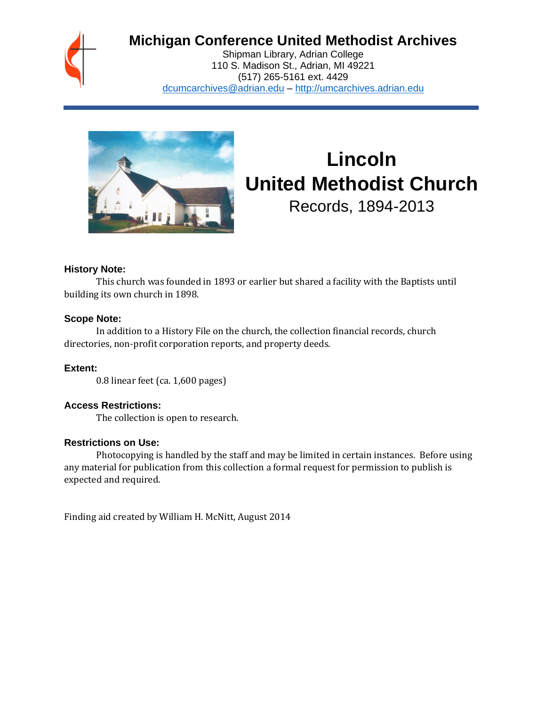

## **Michigan Conference United Methodist Archives**

Shipman Library, Adrian College 110 S. Madison St., Adrian, MI 49221 (517) 265-5161 ext. 4429 [dcumcarchives@adrian.edu](mailto:dcumcarchives@adrian.edu) – [http://umcarchives.adrian.edu](http://umcarchives.adrian.edu/)



# **Lincoln United Methodist Church**

Records, 1894-2013

#### **History Note:**

This church was founded in 1893 or earlier but shared a facility with the Baptists until building its own church in 1898.

#### **Scope Note:**

In addition to a History File on the church, the collection financial records, church directories, non-profit corporation reports, and property deeds.

**Extent:**

0.8 linear feet (ca. 1,600 pages)

#### **Access Restrictions:**

The collection is open to research.

#### **Restrictions on Use:**

Photocopying is handled by the staff and may be limited in certain instances. Before using any material for publication from this collection a formal request for permission to publish is expected and required.

Finding aid created by William H. McNitt, August 2014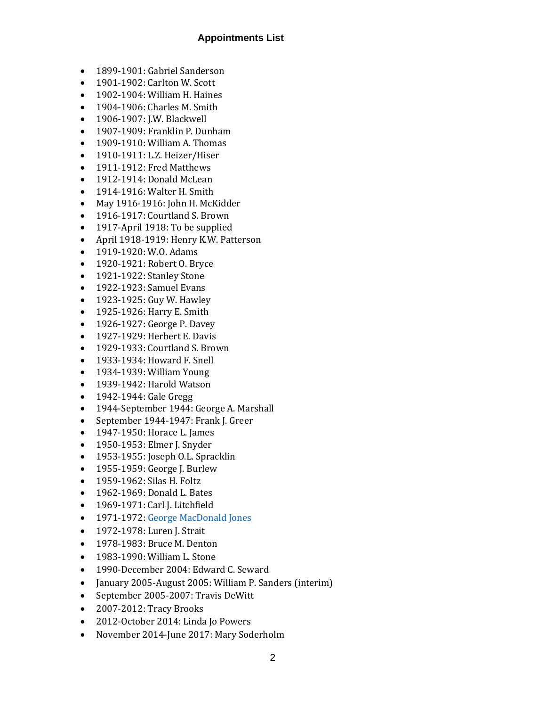#### **Appointments List**

- 1899-1901: Gabriel Sanderson
- 1901-1902: Carlton W. Scott
- 1902-1904: William H. Haines
- 1904-1906: Charles M. Smith
- 1906-1907: J.W. Blackwell
- 1907-1909: Franklin P. Dunham
- 1909-1910: William A. Thomas
- 1910-1911: L.Z. Heizer/Hiser
- 1911-1912: Fred Matthews
- 1912-1914: Donald McLean
- 1914-1916: Walter H. Smith
- May 1916-1916: John H. McKidder
- 1916-1917: Courtland S. Brown
- 1917-April 1918: To be supplied
- April 1918-1919: Henry K.W. Patterson
- 1919-1920: W.O. Adams
- 1920-1921: Robert O. Bryce
- 1921-1922: Stanley Stone
- 1922-1923: Samuel Evans
- 1923-1925: Guy W. Hawley
- 1925-1926: Harry E. Smith
- 1926-1927: George P. Davey
- 1927-1929: Herbert E. Davis
- 1929-1933: Courtland S. Brown
- 1933-1934: Howard F. Snell
- 1934-1939: William Young
- 1939-1942: Harold Watson
- 1942-1944: Gale Gregg
- 1944-September 1944: George A. Marshall
- September 1944-1947: Frank J. Greer
- 1947-1950: Horace L. James
- 1950-1953: Elmer J. Snyder
- 1953-1955: Joseph O.L. Spracklin
- 1955-1959: George J. Burlew
- 1959-1962: Silas H. Foltz
- 1962-1969: Donald L. Bates
- 1969-1971: Carl J. Litchfield
- 1971-1972[: George MacDonald Jones](http://umcarchives.adrian.edu/clergy/jonesgm.php)
- 1972-1978: Luren J. Strait
- 1978-1983: Bruce M. Denton
- 1983-1990: William L. Stone
- 1990-December 2004: Edward C. Seward
- January 2005-August 2005: William P. Sanders (interim)
- September 2005-2007: Travis DeWitt
- 2007-2012: Tracy Brooks
- 2012-October 2014: Linda Jo Powers
- November 2014-June 2017: Mary Soderholm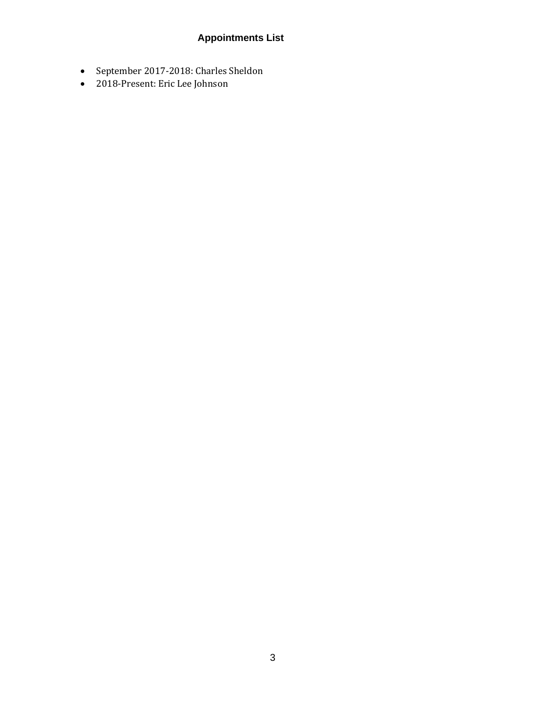### **Appointments List**

- September 2017-2018: Charles Sheldon
- 2018-Present: Eric Lee Johnson